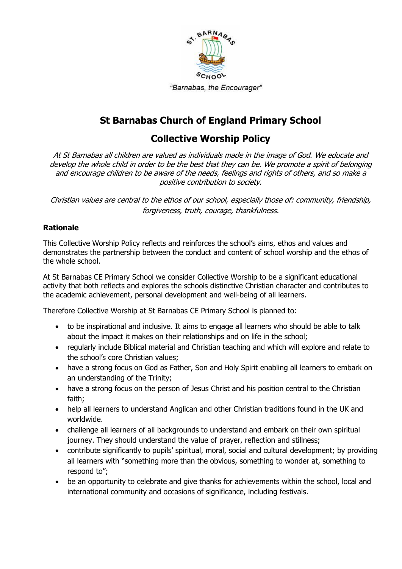

# **St Barnabas Church of England Primary School**

## **Collective Worship Policy**

At St Barnabas all children are valued as individuals made in the image of God. We educate and develop the whole child in order to be the best that they can be. We promote a spirit of belonging and encourage children to be aware of the needs, feelings and rights of others, and so make a positive contribution to society.

Christian values are central to the ethos of our school, especially those of: community, friendship, forgiveness, truth, courage, thankfulness.

## **Rationale**

This Collective Worship Policy reflects and reinforces the school"s aims, ethos and values and demonstrates the partnership between the conduct and content of school worship and the ethos of the whole school.

At St Barnabas CE Primary School we consider Collective Worship to be a significant educational activity that both reflects and explores the schools distinctive Christian character and contributes to the academic achievement, personal development and well-being of all learners.

Therefore Collective Worship at St Barnabas CE Primary School is planned to:

- to be inspirational and inclusive. It aims to engage all learners who should be able to talk about the impact it makes on their relationships and on life in the school;
- regularly include Biblical material and Christian teaching and which will explore and relate to the school's core Christian values;
- have a strong focus on God as Father, Son and Holy Spirit enabling all learners to embark on an understanding of the Trinity;
- have a strong focus on the person of Jesus Christ and his position central to the Christian faith;
- help all learners to understand Anglican and other Christian traditions found in the UK and worldwide.
- challenge all learners of all backgrounds to understand and embark on their own spiritual journey. They should understand the value of prayer, reflection and stillness;
- contribute significantly to pupils' spiritual, moral, social and cultural development; by providing all learners with "something more than the obvious, something to wonder at, something to respond to";
- be an opportunity to celebrate and give thanks for achievements within the school, local and international community and occasions of significance, including festivals.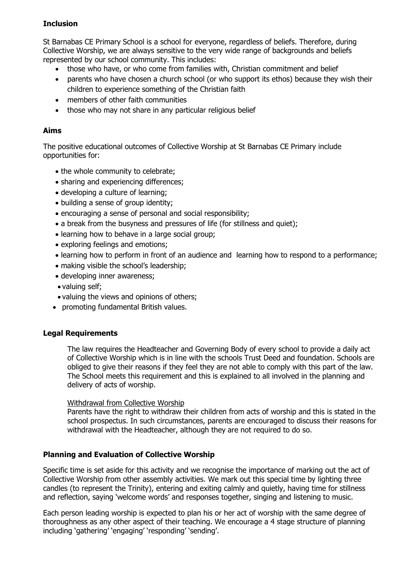## **Inclusion**

St Barnabas CE Primary School is a school for everyone, regardless of beliefs. Therefore, during Collective Worship, we are always sensitive to the very wide range of backgrounds and beliefs represented by our school community. This includes:

- those who have, or who come from families with, Christian commitment and belief
- parents who have chosen a church school (or who support its ethos) because they wish their children to experience something of the Christian faith
- members of other faith communities
- those who may not share in any particular religious belief

## **Aims**

The positive educational outcomes of Collective Worship at St Barnabas CE Primary include opportunities for:

- the whole community to celebrate;
- sharing and experiencing differences;
- developing a culture of learning;
- building a sense of group identity;
- encouraging a sense of personal and social responsibility;
- a break from the busyness and pressures of life (for stillness and quiet);
- learning how to behave in a large social group;
- exploring feelings and emotions;
- learning how to perform in front of an audience and learning how to respond to a performance;
- making visible the school's leadership;
- developing inner awareness;
- valuing self;
- valuing the views and opinions of others;
- promoting fundamental British values.

## **Legal Requirements**

The law requires the Headteacher and Governing Body of every school to provide a daily act of Collective Worship which is in line with the schools Trust Deed and foundation. Schools are obliged to give their reasons if they feel they are not able to comply with this part of the law. The School meets this requirement and this is explained to all involved in the planning and delivery of acts of worship.

#### Withdrawal from Collective Worship

Parents have the right to withdraw their children from acts of worship and this is stated in the school prospectus. In such circumstances, parents are encouraged to discuss their reasons for withdrawal with the Headteacher, although they are not required to do so.

## **Planning and Evaluation of Collective Worship**

Specific time is set aside for this activity and we recognise the importance of marking out the act of Collective Worship from other assembly activities. We mark out this special time by lighting three candles (to represent the Trinity), entering and exiting calmly and quietly, having time for stillness and reflection, saying 'welcome words' and responses together, singing and listening to music.

Each person leading worship is expected to plan his or her act of worship with the same degree of thoroughness as any other aspect of their teaching. We encourage a 4 stage structure of planning including 'gathering' 'engaging' 'responding' 'sending'.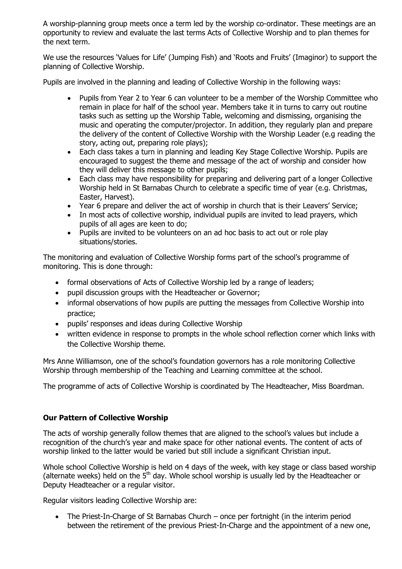A worship-planning group meets once a term led by the worship co-ordinator. These meetings are an opportunity to review and evaluate the last terms Acts of Collective Worship and to plan themes for the next term.

We use the resources 'Values for Life' (Jumping Fish) and 'Roots and Fruits' (Imaginor) to support the planning of Collective Worship.

Pupils are involved in the planning and leading of Collective Worship in the following ways:

- Pupils from Year 2 to Year 6 can volunteer to be a member of the Worship Committee who remain in place for half of the school year. Members take it in turns to carry out routine tasks such as setting up the Worship Table, welcoming and dismissing, organising the music and operating the computer/projector. In addition, they regularly plan and prepare the delivery of the content of Collective Worship with the Worship Leader (e.g reading the story, acting out, preparing role plays);
- Each class takes a turn in planning and leading Key Stage Collective Worship. Pupils are encouraged to suggest the theme and message of the act of worship and consider how they will deliver this message to other pupils;
- Each class may have responsibility for preparing and delivering part of a longer Collective Worship held in St Barnabas Church to celebrate a specific time of year (e.g. Christmas, Easter, Harvest).
- Year 6 prepare and deliver the act of worship in church that is their Leavers' Service;
- In most acts of collective worship, individual pupils are invited to lead prayers, which pupils of all ages are keen to do;
- Pupils are invited to be volunteers on an ad hoc basis to act out or role play situations/stories.

The monitoring and evaluation of Collective Worship forms part of the school"s programme of monitoring. This is done through:

- formal observations of Acts of Collective Worship led by a range of leaders;
- pupil discussion groups with the Headteacher or Governor;
- informal observations of how pupils are putting the messages from Collective Worship into practice;
- pupils' responses and ideas during Collective Worship
- written evidence in response to prompts in the whole school reflection corner which links with the Collective Worship theme.

Mrs Anne Williamson, one of the school's foundation governors has a role monitoring Collective Worship through membership of the Teaching and Learning committee at the school.

The programme of acts of Collective Worship is coordinated by The Headteacher, Miss Boardman.

#### **Our Pattern of Collective Worship**

The acts of worship generally follow themes that are aligned to the school"s values but include a recognition of the church's year and make space for other national events. The content of acts of worship linked to the latter would be varied but still include a significant Christian input.

Whole school Collective Worship is held on 4 days of the week, with key stage or class based worship (alternate weeks) held on the  $5<sup>th</sup>$  day. Whole school worship is usually led by the Headteacher or Deputy Headteacher or a regular visitor.

Regular visitors leading Collective Worship are:

• The Priest-In-Charge of St Barnabas Church – once per fortnight (in the interim period between the retirement of the previous Priest-In-Charge and the appointment of a new one,